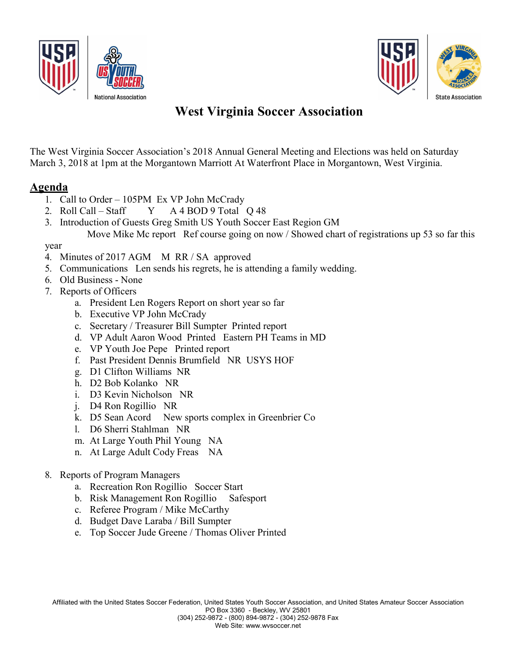



# West Virginia Soccer Association

The West Virginia Soccer Association's 2018 Annual General Meeting and Elections was held on Saturday March 3, 2018 at 1pm at the Morgantown Marriott At Waterfront Place in Morgantown, West Virginia.

### Agenda

- 1. Call to Order 105PM Ex VP John McCrady
- 2. Roll Call Staff  $Y$  A 4 BOD 9 Total Q 48
- 3. Introduction of Guests Greg Smith US Youth Soccer East Region GM Move Mike Mc report Ref course going on now / Showed chart of registrations up 53 so far this

#### year

- 4. Minutes of 2017 AGM M RR / SA approved
- 5. Communications Len sends his regrets, he is attending a family wedding.
- 6. Old Business None
- 7. Reports of Officers
	- a. President Len Rogers Report on short year so far
	- b. Executive VP John McCrady
	- c. Secretary / Treasurer Bill Sumpter Printed report
	- d. VP Adult Aaron Wood Printed Eastern PH Teams in MD
	- e. VP Youth Joe Pepe Printed report
	- f. Past President Dennis Brumfield NR USYS HOF
	- g. D1 Clifton Williams NR
	- h. D2 Bob Kolanko NR
	- i. D3 Kevin Nicholson NR
	- j. D4 Ron Rogillio NR
	- k. D5 Sean Acord New sports complex in Greenbrier Co
	- l. D6 Sherri Stahlman NR
	- m. At Large Youth Phil Young NA
	- n. At Large Adult Cody Freas NA
- 8. Reports of Program Managers
	- a. Recreation Ron Rogillio Soccer Start
	- b. Risk Management Ron Rogillio Safesport
	- c. Referee Program / Mike McCarthy
	- d. Budget Dave Laraba / Bill Sumpter
	- e. Top Soccer Jude Greene / Thomas Oliver Printed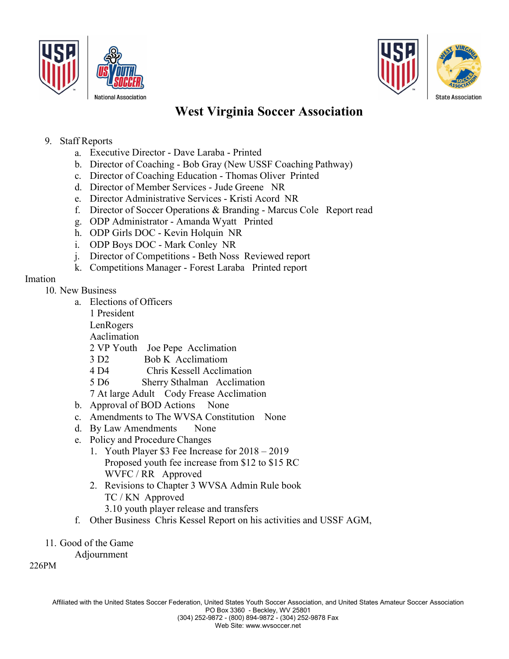



### West Virginia Soccer Association

#### 9. Staff Reports

- a. Executive Director Dave Laraba Printed
- b. Director of Coaching Bob Gray (New USSF Coaching Pathway)
- c. Director of Coaching Education Thomas Oliver Printed
- d. Director of Member Services Jude Greene NR
- e. Director Administrative Services Kristi Acord NR
- f. Director of Soccer Operations & Branding Marcus Cole Report read
- g. ODP Administrator Amanda Wyatt Printed
- h. ODP Girls DOC Kevin Holquin NR
- i. ODP Boys DOC Mark Conley NR
- j. Director of Competitions Beth Noss Reviewed report
- k. Competitions Manager Forest Laraba Printed report

### Imation

#### 10. New Business

- a. Elections of Officers
	- 1 President
	- LenRogers
	- Aaclimation
	- 2 VP Youth Joe Pepe Acclimation
	- 3 D2 Bob K Acclimatiom
	- 4 D4 Chris Kessell Acclimation
	- 5 D6 Sherry Sthalman Acclimation
	- 7 At large Adult Cody Frease Acclimation
- b. Approval of BOD Actions None
- c. Amendments to The WVSA Constitution None
- d. By Law Amendments None
- e. Policy and Procedure Changes
	- 1. Youth Player \$3 Fee Increase for 2018 2019 Proposed youth fee increase from \$12 to \$15 RC WVFC / RR Approved
	- 2. Revisions to Chapter 3 WVSA Admin Rule book TC / KN Approved
		- 3.10 youth player release and transfers
- f. Other Business Chris Kessel Report on his activities and USSF AGM,
- 11. Good of the Game

Adjournment

226PM